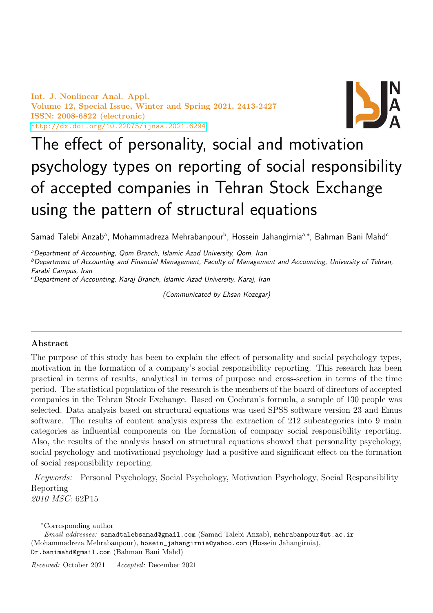Int. J. Nonlinear Anal. Appl. Volume 12, Special Issue, Winter and Spring 2021, 2413-2427 ISSN: 2008-6822 (electronic) <http://dx.doi.org/10.22075/ijnaa.2021.6294>



# The effect of personality, social and motivation psychology types on reporting of social responsibility of accepted companies in Tehran Stock Exchange using the pattern of structural equations

Samad Talebi Anzabª, Mohammadreza Mehrabanpour<sup>b</sup>, Hossein Jahangirniaª<sub>'</sub>\*, Bahman Bani Mahd<sup>c</sup>

<sup>a</sup>Department of Accounting, Qom Branch, Islamic Azad University, Qom, Iran <sup>b</sup>Department of Accounting and Financial Management, Faculty of Management and Accounting, University of Tehran, Farabi Campus, Iran

<sup>c</sup>Department of Accounting, Karaj Branch, Islamic Azad University, Karaj, Iran

(Communicated by Ehsan Kozegar)

# Abstract

The purpose of this study has been to explain the effect of personality and social psychology types, motivation in the formation of a company's social responsibility reporting. This research has been practical in terms of results, analytical in terms of purpose and cross-section in terms of the time period. The statistical population of the research is the members of the board of directors of accepted companies in the Tehran Stock Exchange. Based on Cochran's formula, a sample of 130 people was selected. Data analysis based on structural equations was used SPSS software version 23 and Emus software. The results of content analysis express the extraction of 212 subcategories into 9 main categories as influential components on the formation of company social responsibility reporting. Also, the results of the analysis based on structural equations showed that personality psychology, social psychology and motivational psychology had a positive and significant effect on the formation of social responsibility reporting.

Keywords: Personal Psychology, Social Psychology, Motivation Psychology, Social Responsibility Reporting 2010 MSC: 62P15

<sup>∗</sup>Corresponding author

Email addresses: samadtalebsamad@gmail.com (Samad Talebi Anzab), mehrabanpour@ut.ac.ir (Mohammadreza Mehrabanpour), hosein\_jahangirnia@yahoo.com (Hossein Jahangirnia), Dr.banimahd@gmail.com (Bahman Bani Mahd)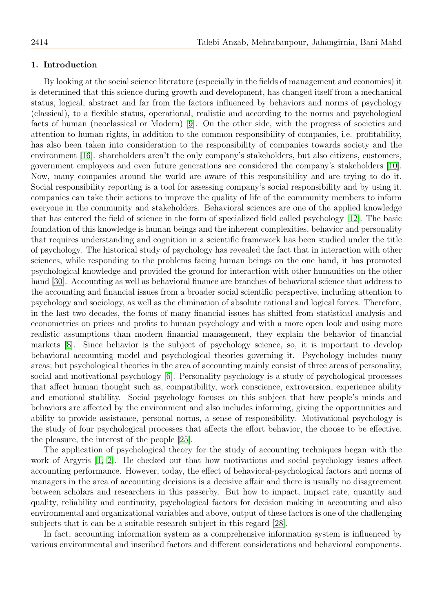## 1. Introduction

By looking at the social science literature (especially in the fields of management and economics) it is determined that this science during growth and development, has changed itself from a mechanical status, logical, abstract and far from the factors influenced by behaviors and norms of psychology (classical), to a flexible status, operational, realistic and according to the norms and psychological facts of human (neoclassical or Modern) [\[9\]](#page-13-0). On the other side, with the progress of societies and attention to human rights, in addition to the common responsibility of companies, i.e. profitability, has also been taken into consideration to the responsibility of companies towards society and the environment [\[16\]](#page-13-1). shareholders aren't the only company's stakeholders, but also citizens, customers, government employees and even future generations are considered the company's stakeholders [\[10\]](#page-13-2). Now, many companies around the world are aware of this responsibility and are trying to do it. Social responsibility reporting is a tool for assessing company's social responsibility and by using it, companies can take their actions to improve the quality of life of the community members to inform everyone in the community and stakeholders. Behavioral sciences are one of the applied knowledge that has entered the field of science in the form of specialized field called psychology [\[12\]](#page-13-3). The basic foundation of this knowledge is human beings and the inherent complexities, behavior and personality that requires understanding and cognition in a scientific framework has been studied under the title of psychology. The historical study of psychology has revealed the fact that in interaction with other sciences, while responding to the problems facing human beings on the one hand, it has promoted psychological knowledge and provided the ground for interaction with other humanities on the other hand [\[30\]](#page-14-0). Accounting as well as behavioral finance are branches of behavioral science that address to the accounting and financial issues from a broader social scientific perspective, including attention to psychology and sociology, as well as the elimination of absolute rational and logical forces. Therefore, in the last two decades, the focus of many financial issues has shifted from statistical analysis and econometrics on prices and profits to human psychology and with a more open look and using more realistic assumptions than modern financial management, they explain the behavior of financial markets [\[8\]](#page-13-4). Since behavior is the subject of psychology science, so, it is important to develop behavioral accounting model and psychological theories governing it. Psychology includes many areas; but psychological theories in the area of accounting mainly consist of three areas of personality, social and motivational psychology [\[6\]](#page-13-5). Personality psychology is a study of psychological processes that affect human thought such as, compatibility, work conscience, extroversion, experience ability and emotional stability. Social psychology focuses on this subject that how people's minds and behaviors are affected by the environment and also includes informing, giving the opportunities and ability to provide assistance, personal norms, a sense of responsibility. Motivational psychology is the study of four psychological processes that affects the effort behavior, the choose to be effective, the pleasure, the interest of the people [\[25\]](#page-13-6).

The application of psychological theory for the study of accounting techniques began with the work of Argyris  $[1, 2]$  $[1, 2]$ . He checked out that how motivations and social psychology issues affect accounting performance. However, today, the effect of behavioral-psychological factors and norms of managers in the area of accounting decisions is a decisive affair and there is usually no disagreement between scholars and researchers in this passerby. But how to impact, impact rate, quantity and quality, reliability and continuity, psychological factors for decision making in accounting and also environmental and organizational variables and above, output of these factors is one of the challenging subjects that it can be a suitable research subject in this regard [\[28\]](#page-14-1).

In fact, accounting information system as a comprehensive information system is influenced by various environmental and inscribed factors and different considerations and behavioral components.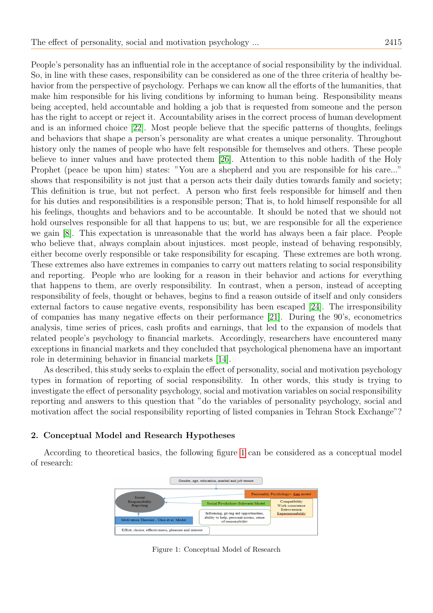People's personality has an influential role in the acceptance of social responsibility by the individual. So, in line with these cases, responsibility can be considered as one of the three criteria of healthy behavior from the perspective of psychology. Perhaps we can know all the efforts of the humanities, that make him responsible for his living conditions by informing to human being. Responsibility means being accepted, held accountable and holding a job that is requested from someone and the person has the right to accept or reject it. Accountability arises in the correct process of human development and is an informed choice [\[22\]](#page-13-9). Most people believe that the specific patterns of thoughts, feelings and behaviors that shape a person's personality are what creates a unique personality. Throughout history only the names of people who have felt responsible for themselves and others. These people believe to inner values and have protected them [\[26\]](#page-13-10). Attention to this noble hadith of the Holy Prophet (peace be upon him) states: "You are a shepherd and you are responsible for his care..." shows that responsibility is not just that a person acts their daily duties towards family and society; This definition is true, but not perfect. A person who first feels responsible for himself and then for his duties and responsibilities is a responsible person; That is, to hold himself responsible for all his feelings, thoughts and behaviors and to be accountable. It should be noted that we should not hold ourselves responsible for all that happens to us; but, we are responsible for all the experience we gain [\[8\]](#page-13-4). This expectation is unreasonable that the world has always been a fair place. People who believe that, always complain about injustices. most people, instead of behaving responsibly, either become overly responsible or take responsibility for escaping. These extremes are both wrong. These extremes also have extremes in companies to carry out matters relating to social responsibility and reporting. People who are looking for a reason in their behavior and actions for everything that happens to them, are overly responsibility. In contrast, when a person, instead of accepting responsibility of feels, thought or behaves, begins to find a reason outside of itself and only considers external factors to cause negative events, responsibility has been escaped [\[24\]](#page-13-11). The irresponsibility of companies has many negative effects on their performance [\[21\]](#page-13-12). During the 90's, econometrics analysis, time series of prices, cash profits and earnings, that led to the expansion of models that related people's psychology to financial markets. Accordingly, researchers have encountered many exceptions in financial markets and they concluded that psychological phenomena have an important role in determining behavior in financial markets [\[14\]](#page-13-13).

As described, this study seeks to explain the effect of personality, social and motivation psychology types in formation of reporting of social responsibility. In other words, this study is trying to investigate the effect of personality psychology, social and motivation variables on social responsibility reporting and answers to this question that "do the variables of personality psychology, social and motivation affect the social responsibility reporting of listed companies in Tehran Stock Exchange"?

# 2. Conceptual Model and Research Hypotheses

According to theoretical basics, the following figure [1](#page-2-0) can be considered as a conceptual model of research:



<span id="page-2-0"></span>Figure 1: Conceptual Model of Research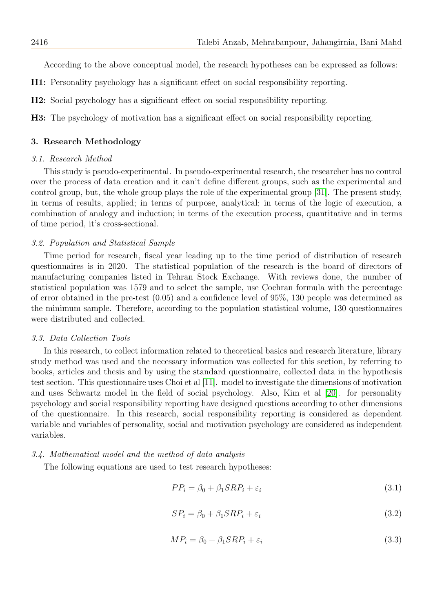According to the above conceptual model, the research hypotheses can be expressed as follows:

- H1: Personality psychology has a significant effect on social responsibility reporting.
- H2: Social psychology has a significant effect on social responsibility reporting.

H3: The psychology of motivation has a significant effect on social responsibility reporting.

## 3. Research Methodology

#### 3.1. Research Method

This study is pseudo-experimental. In pseudo-experimental research, the researcher has no control over the process of data creation and it can't define different groups, such as the experimental and control group, but, the whole group plays the role of the experimental group [\[31\]](#page-14-2). The present study, in terms of results, applied; in terms of purpose, analytical; in terms of the logic of execution, a combination of analogy and induction; in terms of the execution process, quantitative and in terms of time period, it's cross-sectional.

#### 3.2. Population and Statistical Sample

Time period for research, fiscal year leading up to the time period of distribution of research questionnaires is in 2020. The statistical population of the research is the board of directors of manufacturing companies listed in Tehran Stock Exchange. With reviews done, the number of statistical population was 1579 and to select the sample, use Cochran formula with the percentage of error obtained in the pre-test (0.05) and a confidence level of 95%, 130 people was determined as the minimum sample. Therefore, according to the population statistical volume, 130 questionnaires were distributed and collected.

## 3.3. Data Collection Tools

In this research, to collect information related to theoretical basics and research literature, library study method was used and the necessary information was collected for this section, by referring to books, articles and thesis and by using the standard questionnaire, collected data in the hypothesis test section. This questionnaire uses Choi et al [\[11\]](#page-13-14). model to investigate the dimensions of motivation and uses Schwartz model in the field of social psychology. Also, Kim et al [\[20\]](#page-13-15). for personality psychology and social responsibility reporting have designed questions according to other dimensions of the questionnaire. In this research, social responsibility reporting is considered as dependent variable and variables of personality, social and motivation psychology are considered as independent variables.

#### 3.4. Mathematical model and the method of data analysis

The following equations are used to test research hypotheses:

<span id="page-3-0"></span>
$$
PP_i = \beta_0 + \beta_1 SRP_i + \varepsilon_i \tag{3.1}
$$

$$
SP_i = \beta_0 + \beta_1 SRP_i + \varepsilon_i \tag{3.2}
$$

<span id="page-3-1"></span>
$$
MP_i = \beta_0 + \beta_1 SRP_i + \varepsilon_i \tag{3.3}
$$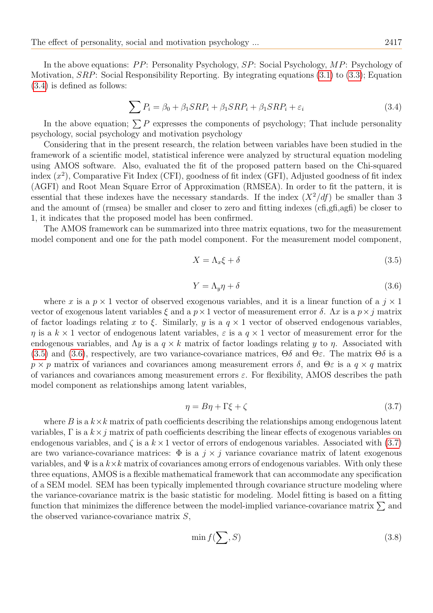In the above equations:  $PP$ : Personality Psychology,  $SP$ : Social Psychology,  $MP$ : Psychology of Motivation, SRP: Social Responsibility Reporting. By integrating equations [\(3.1\)](#page-3-0) to [\(3.3\)](#page-3-1); Equation [\(3.4\)](#page-4-0) is defined as follows:

<span id="page-4-0"></span>
$$
\sum P_i = \beta_0 + \beta_1 SRP_i + \beta_1 SRP_i + \beta_1 SRP_i + \varepsilon_i \tag{3.4}
$$

In the above equation;  $\sum P$  expresses the components of psychology; That include personality psychology, social psychology and motivation psychology

Considering that in the present research, the relation between variables have been studied in the framework of a scientific model, statistical inference were analyzed by structural equation modeling using AMOS software. Also, evaluated the fit of the proposed pattern based on the Chi-squared index  $(x^2)$ , Comparative Fit Index (CFI), goodness of fit index (GFI), Adjusted goodness of fit index (AGFI) and Root Mean Square Error of Approximation (RMSEA). In order to fit the pattern, it is essential that these indexes have the necessary standards. If the index  $(X^2/df)$  be smaller than 3 and the amount of (rmsea) be smaller and closer to zero and fitting indexes (cfi,gfi,agfi) be closer to 1, it indicates that the proposed model has been confirmed.

The AMOS framework can be summarized into three matrix equations, two for the measurement model component and one for the path model component. For the measurement model component,

<span id="page-4-1"></span>
$$
X = \Lambda_x \xi + \delta \tag{3.5}
$$

<span id="page-4-2"></span>
$$
Y = \Lambda_y \eta + \delta \tag{3.6}
$$

where x is a  $p \times 1$  vector of observed exogenous variables, and it is a linear function of a  $j \times 1$ vector of exogenous latent variables  $\xi$  and a  $p \times 1$  vector of measurement error  $\delta$ .  $\Lambda x$  is a  $p \times j$  matrix of factor loadings relating x to  $\xi$ . Similarly, y is a  $q \times 1$  vector of observed endogenous variables,  $\eta$  is a  $k \times 1$  vector of endogenous latent variables,  $\varepsilon$  is a  $q \times 1$  vector of measurement error for the endogenous variables, and  $\Lambda y$  is a  $q \times k$  matrix of factor loadings relating y to  $\eta$ . Associated with [\(3.5\)](#page-4-1) and [\(3.6\)](#page-4-2), respectively, are two variance-covariance matrices,  $\Theta\delta$  and  $\Theta\varepsilon$ . The matrix  $\Theta\delta$  is a  $p \times p$  matrix of variances and covariances among measurement errors  $\delta$ , and  $\Theta \varepsilon$  is a  $q \times q$  matrix of variances and covariances among measurement errors  $\varepsilon$ . For flexibility, AMOS describes the path model component as relationships among latent variables,

<span id="page-4-3"></span>
$$
\eta = B\eta + \Gamma\xi + \zeta \tag{3.7}
$$

where B is a  $k \times k$  matrix of path coefficients describing the relationships among endogenous latent variables,  $\Gamma$  is a  $k \times j$  matrix of path coefficients describing the linear effects of exogenous variables on endogenous variables, and  $\zeta$  is a  $k \times 1$  vector of errors of endogenous variables. Associated with [\(3.7\)](#page-4-3) are two variance-covariance matrices:  $\Phi$  is a j  $\times$  j variance covariance matrix of latent exogenous variables, and  $\Psi$  is a  $k \times k$  matrix of covariances among errors of endogenous variables. With only these three equations, AMOS is a flexible mathematical framework that can accommodate any specification of a SEM model. SEM has been typically implemented through covariance structure modeling where the variance-covariance matrix is the basic statistic for modeling. Model fitting is based on a fitting function that minimizes the difference between the model-implied variance-covariance matrix  $\Sigma$  and the observed variance-covariance matrix  $S$ ,

<span id="page-4-4"></span>
$$
\min f(\sum, S) \tag{3.8}
$$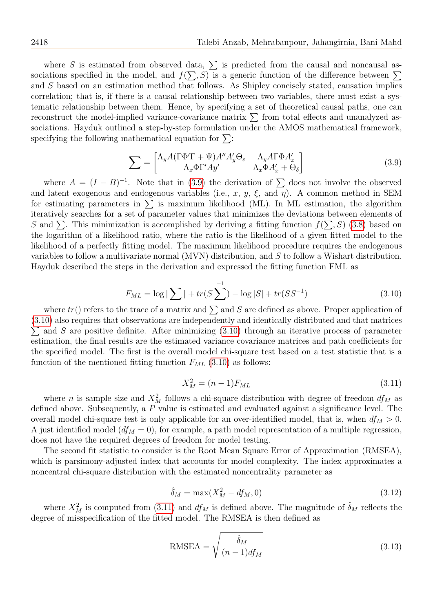where S is estimated from observed data,  $\sum$  is predicted from the causal and noncausal associations specified in the model, and  $f(\sum, S)$  is a generic function of the difference between  $\Sigma$ and S based on an estimation method that follows. As Shipley concisely stated, causation implies correlation; that is, if there is a causal relationship between two variables, there must exist a systematic relationship between them. Hence, by specifying a set of theoretical causal paths, one can reconstruct the model-implied variance-covariance matrix  $\sum$  from total effects and unanalyzed associations. Hayduk outlined a step-by-step formulation under the AMOS mathematical framework, specifying the following mathematical equation for  $\Sigma$ :

<span id="page-5-0"></span>
$$
\sum = \begin{bmatrix} \Lambda_y A (\Gamma \Phi' \Gamma + \Psi) A'' A'_y \Theta_{\varepsilon} & \Lambda_y A \Gamma \Phi A'_x \\ \Lambda_x \Phi \Gamma' A y' & \Lambda_x \Phi A'_x + \Theta_{\delta} \end{bmatrix}
$$
(3.9)

where  $A = (I - B)^{-1}$ . Note that in [\(3.9\)](#page-5-0) the derivation of  $\sum$  does not involve the observed and latent exogenous and endogenous variables (i.e., x, y,  $\xi$ , and  $\eta$ ). A common method in SEM for estimating parameters in  $\Sigma$  is maximum likelihood (ML). In ML estimation, the algorithm iteratively searches for a set of parameter values that minimizes the deviations between elements of S and  $\Sigma$ . This minimization is accomplished by deriving a fitting function  $f(\Sigma, S)$  [\(3.8\)](#page-4-4) based on the logarithm of a likelihood ratio, where the ratio is the likelihood of a given fitted model to the likelihood of a perfectly fitting model. The maximum likelihood procedure requires the endogenous variables to follow a multivariate normal (MVN) distribution, and S to follow a Wishart distribution. Hayduk described the steps in the derivation and expressed the fitting function FML as

<span id="page-5-1"></span>
$$
F_{ML} = \log |\sum| + tr(S \sum_{i}^{-1}) - \log |S| + tr(SS^{-1})
$$
\n(3.10)

where  $tr()$  refers to the trace of a matrix and  $\sum$  and S are defined as above. Proper application of [\(3.10\)](#page-5-1) also requires that observations are independently and identically distributed and that matrices  $\sum$  and S are positive definite. After minimizing [\(3.10\)](#page-5-1) through an iterative process of parameter estimation, the final results are the estimated variance covariance matrices and path coefficients for the specified model. The first is the overall model chi-square test based on a test statistic that is a function of the mentioned fitting function  $F_{ML}$  [\(3.10\)](#page-5-1) as follows:

<span id="page-5-2"></span>
$$
X_M^2 = (n-1)F_{ML} \t\t(3.11)
$$

where *n* is sample size and  $X_M^2$  follows a chi-square distribution with degree of freedom  $df_M$  as defined above. Subsequently, a P value is estimated and evaluated against a significance level. The overall model chi-square test is only applicable for an over-identified model, that is, when  $df_M > 0$ . A just identified model  $(df_M = 0)$ , for example, a path model representation of a multiple regression, does not have the required degrees of freedom for model testing.

The second fit statistic to consider is the Root Mean Square Error of Approximation (RMSEA), which is parsimony-adjusted index that accounts for model complexity. The index approximates a noncentral chi-square distribution with the estimated noncentrality parameter as

$$
\hat{\delta}_M = \max(X_M^2 - df_M, 0) \tag{3.12}
$$

where  $X_M^2$  is computed from [\(3.11\)](#page-5-2) and  $df_M$  is defined above. The magnitude of  $\hat{\delta}_M$  reflects the degree of misspecification of the fitted model. The RMSEA is then defined as

RMSEA = 
$$
\sqrt{\frac{\hat{\delta}_M}{(n-1)df_M}}
$$
 (3.13)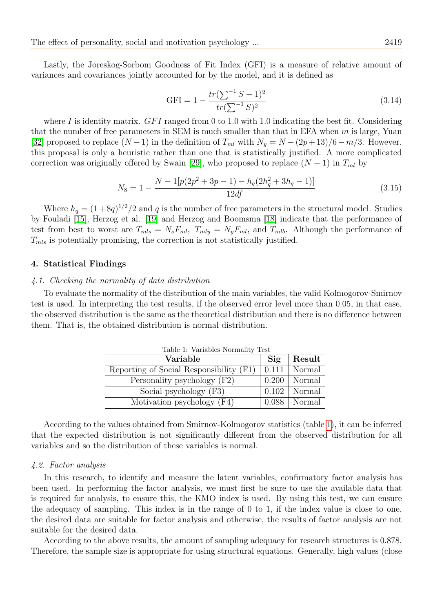Lastly, the Joreskog-Sorbom Goodness of Fit Index (GFI) is a measure of relative amount of variances and covariances jointly accounted for by the model, and it is defined as

$$
GFI = 1 - \frac{tr(\sum^{-1} S - 1)^2}{tr(\sum^{-1} S)^2}
$$
\n(3.14)

where I is identity matrix.  $GFI$  ranged from 0 to 1.0 with 1.0 indicating the best fit. Considering that the number of free parameters in SEM is much smaller than that in EFA when  $m$  is large, Yuan [\[32\]](#page-14-3) proposed to replace  $(N-1)$  in the definition of  $T_{ml}$  with  $N_y = N - (2p+13)/6 - m/3$ . However, this proposal is only a heuristic rather than one that is statistically justified. A more complicated correction was originally offered by Swain [\[29\]](#page-14-4), who proposed to replace  $(N-1)$  in  $T_{ml}$  by

$$
N_8 = 1 - \frac{N - 1[p(2p^2 + 3p - 1) - h_q(2h_q^2 + 3h_q - 1)]}{12df}
$$
\n(3.15)

Where  $h_q = (1 + 8q)^{1/2}/2$  and q is the number of free parameters in the structural model. Studies by Fouladi [\[15\]](#page-13-16), Herzog et al. [\[19\]](#page-13-17) and Herzog and Boomsma [\[18\]](#page-13-18) indicate that the performance of test from best to worst are  $T_{mls} = N_s F_{ml}$ ,  $T_{mly} = N_y F_{ml}$ , and  $T_{mlb}$ . Although the performance of  $T_{mls}$  is potentially promising, the correction is not statistically justified.

## 4. Statistical Findings

## 4.1. Checking the normality of data distribution

To evaluate the normality of the distribution of the main variables, the valid Kolmogorov-Smirnov test is used. In interpreting the test results, if the observed error level more than 0.05, in that case, the observed distribution is the same as the theoretical distribution and there is no difference between them. That is, the obtained distribution is normal distribution.

<span id="page-6-0"></span>

| Table 1: Variables Normality Test       |       |        |  |
|-----------------------------------------|-------|--------|--|
| Variable                                |       | Result |  |
| Reporting of Social Responsibility (F1) | 0.111 | Normal |  |
| Personality psychology (F2)             | 0.200 | Normal |  |
| Social psychology (F3)                  | 0.102 | Normal |  |
| Motivation psychology (F4)              | 0.088 | Normal |  |

According to the values obtained from Smirnov-Kolmogorov statistics (table [1\)](#page-6-0), it can be inferred that the expected distribution is not significantly different from the observed distribution for all variables and so the distribution of these variables is normal.

#### 4.2. Factor analysis

In this research, to identify and measure the latent variables, confirmatory factor analysis has been used. In performing the factor analysis, we must first be sure to use the available data that is required for analysis, to ensure this, the KMO index is used. By using this test, we can ensure the adequacy of sampling. This index is in the range of 0 to 1, if the index value is close to one, the desired data are suitable for factor analysis and otherwise, the results of factor analysis are not suitable for the desired data.

According to the above results, the amount of sampling adequacy for research structures is 0.878. Therefore, the sample size is appropriate for using structural equations. Generally, high values (close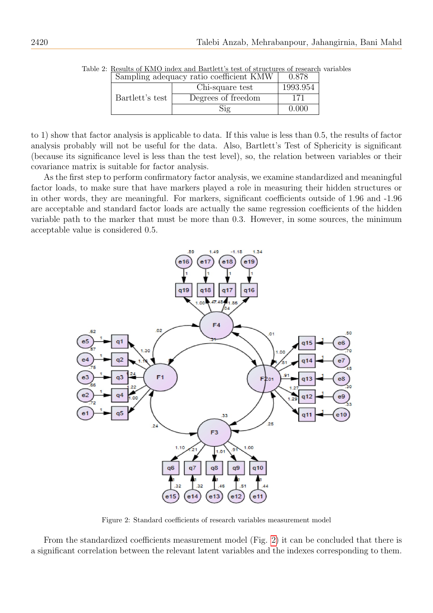| Sampling adequacy ratio coefficient KMW |                    | 0.878    |
|-----------------------------------------|--------------------|----------|
|                                         | Chi-square test    | 1993.954 |
| Bartlett's test                         | Degrees of freedom |          |
|                                         | Sig                | 0.000    |

Table 2: Results of KMO index and Bartlett's test of structures of research variables

to 1) show that factor analysis is applicable to data. If this value is less than 0.5, the results of factor analysis probably will not be useful for the data. Also, Bartlett's Test of Sphericity is significant (because its significance level is less than the test level), so, the relation between variables or their covariance matrix is suitable for factor analysis.

As the first step to perform confirmatory factor analysis, we examine standardized and meaningful factor loads, to make sure that have markers played a role in measuring their hidden structures or in other words, they are meaningful. For markers, significant coefficients outside of 1.96 and -1.96 are acceptable and standard factor loads are actually the same regression coefficients of the hidden variable path to the marker that must be more than 0.3. However, in some sources, the minimum acceptable value is considered 0.5.



<span id="page-7-0"></span>Figure 2: Standard coefficients of research variables measurement model

From the standardized coefficients measurement model (Fig. [2\)](#page-7-0) it can be concluded that there is a significant correlation between the relevant latent variables and the indexes corresponding to them.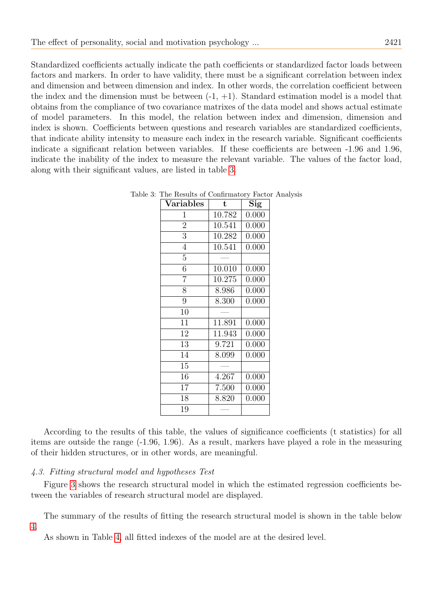Standardized coefficients actually indicate the path coefficients or standardized factor loads between factors and markers. In order to have validity, there must be a significant correlation between index and dimension and between dimension and index. In other words, the correlation coefficient between the index and the dimension must be between  $(-1, +1)$ . Standard estimation model is a model that obtains from the compliance of two covariance matrixes of the data model and shows actual estimate of model parameters. In this model, the relation between index and dimension, dimension and index is shown. Coefficients between questions and research variables are standardized coefficients, that indicate ability intensity to measure each index in the research variable. Significant coefficients indicate a significant relation between variables. If these coefficients are between -1.96 and 1.96, indicate the inability of the index to measure the relevant variable. The values of the factor load, along with their significant values, are listed in table [3.](#page-8-0)

<span id="page-8-0"></span>

| <b>Variables</b> | t      | $\overline{\mathrm{Sig}}$ |
|------------------|--------|---------------------------|
| 1                | 10.782 | 0.000                     |
| $\overline{2}$   | 10.541 | 0.000                     |
| 3                | 10.282 | 0.000                     |
| $\overline{4}$   | 10.541 | 0.000                     |
| $\overline{5}$   |        |                           |
| $\overline{6}$   | 10.010 | 0.000                     |
| $\overline{7}$   | 10.275 | 0.000                     |
| 8                | 8.986  | 0.000                     |
| 9                | 8.300  | 0.000                     |
| 10               |        |                           |
| 11               | 11.891 | 0.000                     |
| 12               | 11.943 | 0.000                     |
| 13               | 9.721  | 0.000                     |
| 14               | 8.099  | 0.000                     |
| 15               |        |                           |
| 16               | 4.267  | 0.000                     |
| 17               | 7.500  | 0.000                     |
| 18               | 8.820  | 0.000                     |
| 19               |        |                           |

Table 3: The Results of Confirmatory Factor Analysis

According to the results of this table, the values of significance coefficients (t statistics) for all items are outside the range (-1.96, 1.96). As a result, markers have played a role in the measuring of their hidden structures, or in other words, are meaningful.

## 4.3. Fitting structural model and hypotheses Test

Figure [3](#page-9-0) shows the research structural model in which the estimated regression coefficients between the variables of research structural model are displayed.

The summary of the results of fitting the research structural model is shown in the table below [4.](#page-9-1)

As shown in Table [4,](#page-9-1) all fitted indexes of the model are at the desired level.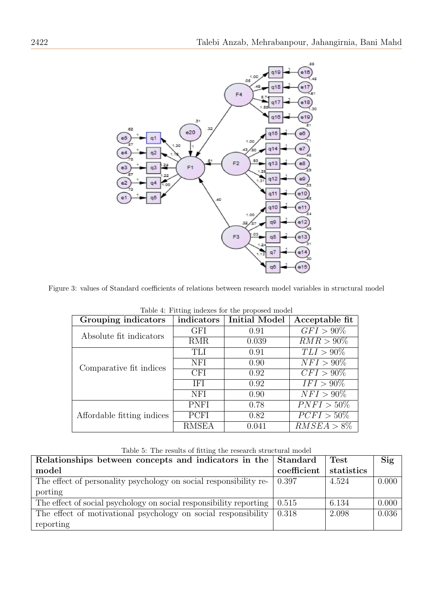

Figure 3: values of Standard coefficients of relations between research model variables in structural model

<span id="page-9-0"></span>

| Table 4: Fitting indexes for the proposed model |              |                      |                         |  |
|-------------------------------------------------|--------------|----------------------|-------------------------|--|
| Grouping indicators                             | indicators   | <b>Initial Model</b> | Acceptable fit          |  |
| Absolute fit indicators                         | <b>GFI</b>   | 0.91                 | $GFI > 90\%$            |  |
|                                                 | <b>RMR</b>   | 0.039                | $RMR > 90\%$            |  |
| Comparative fit indices                         | <b>TLI</b>   | 0.91                 | $TLI > 90\%$            |  |
|                                                 | NFI          | 0.90                 | $NFI > 90\%$            |  |
|                                                 | <b>CFI</b>   | 0.92                 | $CFI > 90\%$            |  |
|                                                 | <b>IFI</b>   | 0.92                 | $IFI > 90\%$            |  |
|                                                 | <b>NFI</b>   | 0.90                 | $\overline{NFI} > 90\%$ |  |
| Affordable fitting indices                      | <b>PNFI</b>  | 0.78                 | $PNFI > 50\%$           |  |
|                                                 | PCFI         | 0.82                 | $PCFI > 50\%$           |  |
|                                                 | <b>RMSEA</b> | 0.041                | $RMSEA > 8\%$           |  |

<span id="page-9-1"></span>Table 4: Fitting indexes for the proposed model

<span id="page-9-2"></span>

| Table 5: The results of fitting the research structural model |  |
|---------------------------------------------------------------|--|
|---------------------------------------------------------------|--|

| Relationships between concepts and indicators in the Standard      |             | <b>Test</b> | Sig   |
|--------------------------------------------------------------------|-------------|-------------|-------|
| model                                                              | coefficient | statistics  |       |
| The effect of personality psychology on social responsibility re-  | 0.397       | 4.524       | 0.000 |
| porting                                                            |             |             |       |
| The effect of social psychology on social responsibility reporting | 0.515       | 6.134       | 0.000 |
| The effect of motivational psychology on social responsibility     | 0.318       | 2.098       | 0.036 |
| reporting                                                          |             |             |       |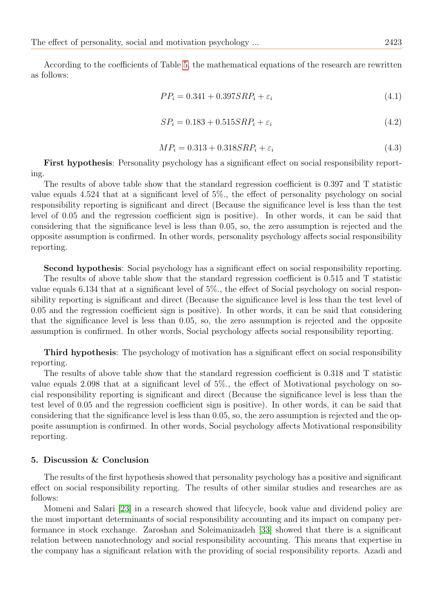According to the coefficients of Table [5,](#page-9-2) the mathematical equations of the research are rewritten as follows:

$$
PP_i = 0.341 + 0.397SRP_i + \varepsilon_i \tag{4.1}
$$

$$
SP_i = 0.183 + 0.515SRP_i + \varepsilon_i \tag{4.2}
$$

$$
MP_i = 0.313 + 0.318SRP_i + \varepsilon_i \tag{4.3}
$$

First hypothesis: Personality psychology has a significant effect on social responsibility reporting.

The results of above table show that the standard regression coefficient is 0.397 and T statistic value equals 4.524 that at a significant level of 5%., the effect of personality psychology on social responsibility reporting is significant and direct (Because the significance level is less than the test level of 0.05 and the regression coefficient sign is positive). In other words, it can be said that considering that the significance level is less than 0.05, so, the zero assumption is rejected and the opposite assumption is confirmed. In other words, personality psychology affects social responsibility reporting.

Second hypothesis: Social psychology has a significant effect on social responsibility reporting. The results of above table show that the standard regression coefficient is 0.515 and T statistic value equals 6.134 that at a significant level of 5%., the effect of Social psychology on social responsibility reporting is significant and direct (Because the significance level is less than the test level of 0.05 and the regression coefficient sign is positive). In other words, it can be said that considering that the significance level is less than 0.05, so, the zero assumption is rejected and the opposite assumption is confirmed. In other words, Social psychology affects social responsibility reporting.

Third hypothesis: The psychology of motivation has a significant effect on social responsibility reporting.

The results of above table show that the standard regression coefficient is 0.318 and T statistic value equals 2.098 that at a significant level of 5%., the effect of Motivational psychology on social responsibility reporting is significant and direct (Because the significance level is less than the test level of 0.05 and the regression coefficient sign is positive). In other words, it can be said that considering that the significance level is less than 0.05, so, the zero assumption is rejected and the opposite assumption is confirmed. In other words, Social psychology affects Motivational responsibility reporting.

## 5. Discussion & Conclusion

The results of the first hypothesis showed that personality psychology has a positive and significant effect on social responsibility reporting. The results of other similar studies and researches are as follows:

Momeni and Salari [\[23\]](#page-13-19) in a research showed that lifecycle, book value and dividend policy are the most important determinants of social responsibility accounting and its impact on company performance in stock exchange. Zaroshan and Soleimanizadeh [\[33\]](#page-14-5) showed that there is a significant relation between nanotechnology and social responsibility accounting. This means that expertise in the company has a significant relation with the providing of social responsibility reports. Azadi and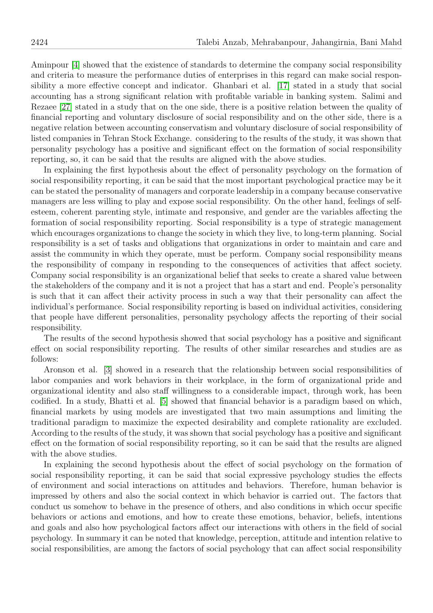Aminpour [\[4\]](#page-13-20) showed that the existence of standards to determine the company social responsibility and criteria to measure the performance duties of enterprises in this regard can make social responsibility a more effective concept and indicator. Ghanbari et al. [\[17\]](#page-13-21) stated in a study that social accounting has a strong significant relation with profitable variable in banking system. Salimi and Rezaee [\[27\]](#page-13-22) stated in a study that on the one side, there is a positive relation between the quality of financial reporting and voluntary disclosure of social responsibility and on the other side, there is a negative relation between accounting conservatism and voluntary disclosure of social responsibility of listed companies in Tehran Stock Exchange. considering to the results of the study, it was shown that personality psychology has a positive and significant effect on the formation of social responsibility reporting, so, it can be said that the results are aligned with the above studies.

In explaining the first hypothesis about the effect of personality psychology on the formation of social responsibility reporting, it can be said that the most important psychological practice may be it can be stated the personality of managers and corporate leadership in a company because conservative managers are less willing to play and expose social responsibility. On the other hand, feelings of selfesteem, coherent parenting style, intimate and responsive, and gender are the variables affecting the formation of social responsibility reporting. Social responsibility is a type of strategic management which encourages organizations to change the society in which they live, to long-term planning. Social responsibility is a set of tasks and obligations that organizations in order to maintain and care and assist the community in which they operate, must be perform. Company social responsibility means the responsibility of company in responding to the consequences of activities that affect society. Company social responsibility is an organizational belief that seeks to create a shared value between the stakeholders of the company and it is not a project that has a start and end. People's personality is such that it can affect their activity process in such a way that their personality can affect the individual's performance. Social responsibility reporting is based on individual activities, considering that people have different personalities, personality psychology affects the reporting of their social responsibility.

The results of the second hypothesis showed that social psychology has a positive and significant effect on social responsibility reporting. The results of other similar researches and studies are as follows:

Aronson et al. [\[3\]](#page-13-23) showed in a research that the relationship between social responsibilities of labor companies and work behaviors in their workplace, in the form of organizational pride and organizational identity and also staff willingness to a considerable impact, through work, has been codified. In a study, Bhatti et al. [\[5\]](#page-13-24) showed that financial behavior is a paradigm based on which, financial markets by using models are investigated that two main assumptions and limiting the traditional paradigm to maximize the expected desirability and complete rationality are excluded. According to the results of the study, it was shown that social psychology has a positive and significant effect on the formation of social responsibility reporting, so it can be said that the results are aligned with the above studies.

In explaining the second hypothesis about the effect of social psychology on the formation of social responsibility reporting, it can be said that social expressive psychology studies the effects of environment and social interactions on attitudes and behaviors. Therefore, human behavior is impressed by others and also the social context in which behavior is carried out. The factors that conduct us somehow to behave in the presence of others, and also conditions in which occur specific behaviors or actions and emotions, and how to create these emotions, behavior, beliefs, intentions and goals and also how psychological factors affect our interactions with others in the field of social psychology. In summary it can be noted that knowledge, perception, attitude and intention relative to social responsibilities, are among the factors of social psychology that can affect social responsibility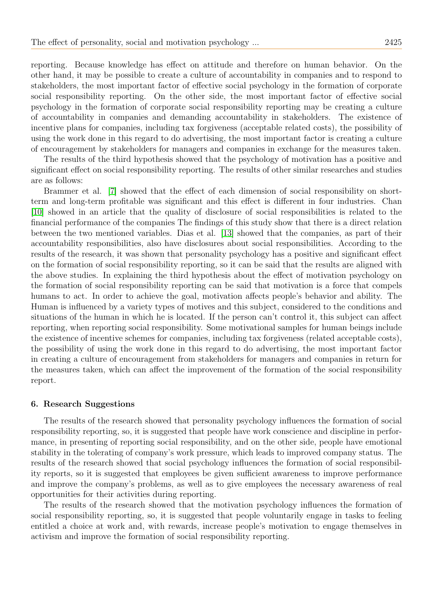reporting. Because knowledge has effect on attitude and therefore on human behavior. On the other hand, it may be possible to create a culture of accountability in companies and to respond to stakeholders, the most important factor of effective social psychology in the formation of corporate social responsibility reporting. On the other side, the most important factor of effective social psychology in the formation of corporate social responsibility reporting may be creating a culture of accountability in companies and demanding accountability in stakeholders. The existence of incentive plans for companies, including tax forgiveness (acceptable related costs), the possibility of using the work done in this regard to do advertising, the most important factor is creating a culture of encouragement by stakeholders for managers and companies in exchange for the measures taken.

The results of the third hypothesis showed that the psychology of motivation has a positive and significant effect on social responsibility reporting. The results of other similar researches and studies are as follows:

Brammer et al. [\[7\]](#page-13-25) showed that the effect of each dimension of social responsibility on shortterm and long-term profitable was significant and this effect is different in four industries. Chan [\[10\]](#page-13-2) showed in an article that the quality of disclosure of social responsibilities is related to the financial performance of the companies The findings of this study show that there is a direct relation between the two mentioned variables. Dias et al. [\[13\]](#page-13-26) showed that the companies, as part of their accountability responsibilities, also have disclosures about social responsibilities. According to the results of the research, it was shown that personality psychology has a positive and significant effect on the formation of social responsibility reporting, so it can be said that the results are aligned with the above studies. In explaining the third hypothesis about the effect of motivation psychology on the formation of social responsibility reporting can be said that motivation is a force that compels humans to act. In order to achieve the goal, motivation affects people's behavior and ability. The Human is influenced by a variety types of motives and this subject, considered to the conditions and situations of the human in which he is located. If the person can't control it, this subject can affect reporting, when reporting social responsibility. Some motivational samples for human beings include the existence of incentive schemes for companies, including tax forgiveness (related acceptable costs), the possibility of using the work done in this regard to do advertising, the most important factor in creating a culture of encouragement from stakeholders for managers and companies in return for the measures taken, which can affect the improvement of the formation of the social responsibility report.

#### 6. Research Suggestions

The results of the research showed that personality psychology influences the formation of social responsibility reporting, so, it is suggested that people have work conscience and discipline in performance, in presenting of reporting social responsibility, and on the other side, people have emotional stability in the tolerating of company's work pressure, which leads to improved company status. The results of the research showed that social psychology influences the formation of social responsibility reports, so it is suggested that employees be given sufficient awareness to improve performance and improve the company's problems, as well as to give employees the necessary awareness of real opportunities for their activities during reporting.

The results of the research showed that the motivation psychology influences the formation of social responsibility reporting, so, it is suggested that people voluntarily engage in tasks to feeling entitled a choice at work and, with rewards, increase people's motivation to engage themselves in activism and improve the formation of social responsibility reporting.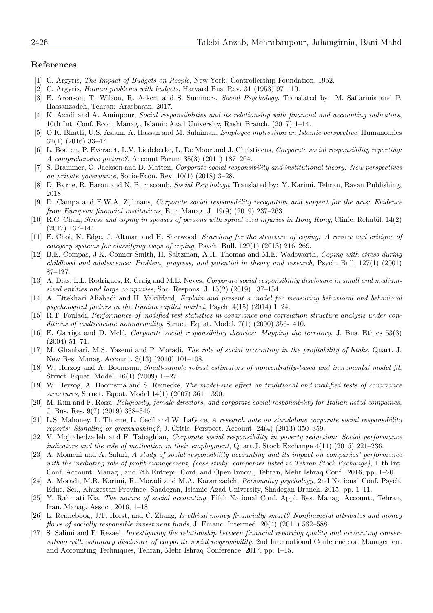#### References

- <span id="page-13-7"></span>[1] C. Argyris, The Impact of Budgets on People, New York: Controllership Foundation, 1952.
- <span id="page-13-8"></span>[2] C. Argyris, Human problems with budgets, Harvard Bus. Rev. 31 (1953) 97–110.
- <span id="page-13-23"></span>[3] E. Aronson, T. Wilson, R. Ackert and S. Summers, Social Psychology, Translated by: M. Saffarinia and P. Hassanzadeh, Tehran: Arasbaran. 2017.
- <span id="page-13-20"></span>[4] K. Azadi and A. Aminpour, Social responsibilities and its relationship with financial and accounting indicators, 10th Int. Conf. Econ. Manag., Islamic Azad University, Rasht Branch, (2017) 1–14.
- <span id="page-13-24"></span>[5] O.K. Bhatti, U.S. Aslam, A. Hassan and M. Sulaiman, Employee motivation an Islamic perspective, Humanomics 32(1) (2016) 33–47.
- <span id="page-13-5"></span>[6] L. Bouten, P. Everaert, L.V. Liedekerke, L. De Moor and J. Christiaens, Corporate social responsibility reporting: A comprehensive picture?, Account Forum 35(3) (2011) 187–204.
- <span id="page-13-25"></span>[7] S. Brammer, G. Jackson and D. Matten, Corporate social responsibility and institutional theory: New perspectives on private governance, Socio-Econ. Rev. 10(1) (2018) 3–28.
- <span id="page-13-4"></span>[8] D. Byrne, R. Baron and N. Burnscomb, Social Psychology, Translated by: Y. Karimi, Tehran, Ravan Publishing, 2018.
- <span id="page-13-0"></span>[9] D. Campa and E.W.A. Zijlmans, Corporate social responsibility recognition and support for the arts: Evidence from European financial institutions, Eur. Manag. J. 19(9) (2019) 237–263.
- <span id="page-13-2"></span>[10] R.C. Chan, Stress and coping in spouses of persons with spinal cord injuries in Hong Kong, Clinic. Rehabil. 14(2) (2017) 137–144.
- <span id="page-13-14"></span>[11] E. Choi, K. Edge, J. Altman and H. Sherwood, Searching for the structure of coping: A review and critigue of category systems for classifying ways of coping, Psych. Bull. 129(1) (2013) 216–269.
- <span id="page-13-3"></span>[12] B.E. Compas, J.K. Conner-Smith, H. Saltzman, A.H. Thomas and M.E. Wadsworth, Coping with stress during childhood and adolescence: Problem, progress, and potential in theory and research, Psych. Bull. 127(1) (2001) 87–127.
- <span id="page-13-26"></span>[13] A. Dias, L.L. Rodrigues, R. Craig and M.E. Neves, *Corporate social responsibility disclosure in small and medium*sized entities and large companies, Soc. Respons. J. 15(2) (2019) 137–154.
- <span id="page-13-13"></span>[14] A. Eftekhari Aliabadi and H. Vakilifard, Explain and present a model for measuring behavioral and behavioral psychological factors in the Iranian capital market, Psych. 4(15) (2014) 1–24.
- <span id="page-13-16"></span>[15] R.T. Fouladi, Performance of modified test statistics in covariance and correlation structure analysis under conditions of multivariate nonnormality, Struct. Equat. Model. 7(1) (2000) 356--410.
- <span id="page-13-1"></span>[16] E. Garriga and D. Melé, *Corporate social responsibility theories: Mapping the territory*, J. Bus. Ethics 53(3) (2004) 51–71.
- <span id="page-13-21"></span>[17] M. Ghanbari, M.S. Yasemi and P. Moradi, The role of social accounting in the profitability of banks, Quart. J. New Res. Manag. Account. 3(13) (2016) 101–108.
- <span id="page-13-18"></span>[18] W. Herzog and A. Boomsma, Small-sample robust estimators of noncentrality-based and incremental model fit, Struct. Equat. Model, 16(1) (2009) 1-–27.
- <span id="page-13-17"></span>[19] W. Herzog, A. Boomsma and S. Reinecke, The model-size effect on traditional and modified tests of covariance structures, Struct. Equat. Model 14(1) (2007) 361—390.
- <span id="page-13-15"></span>[20] M. Kim and F. Rossi, Religiosity, female directors, and corporate social responsibility for Italian listed companies, J. Bus. Res. 9(7) (2019) 338–346.
- <span id="page-13-12"></span>[21] L.S. Mahoney, L. Thorne, L. Cecil and W. LaGore, A research note on standalone corporate social responsibility reports: Signaling or greenwashing?, J. Critic. Perspect. Account. 24(4) (2013) 350–359.
- <span id="page-13-9"></span>[22] V. Mojtahedzadeh and F. Tabaghian, Corporate social responsibility in poverty reduction: Social performance indicators and the role of motivation in their employment, Quart.J. Stock Exchange 4(14) (2015) 221–236.
- <span id="page-13-19"></span>[23] A. Momeni and A. Salari, A study of social responsibility accounting and its impact on companies' performance with the mediating role of profit management, (case study: companies listed in Tehran Stock Exchange), 11th Int. Conf. Account. Manag., and 7th Entrepr. Conf. and Open Innov., Tehran, Mehr Ishraq Conf., 2016, pp. 1–20.
- <span id="page-13-11"></span>[24] A. Moradi, M.R. Karimi, R. Moradi and M.A. Karamzadeh, Personality psychology, 2nd National Conf. Psych. Educ. Sci., Khuzestan Province, Shadegan, Islamic Azad University, Shadegan Branch, 2015, pp. 1–11.
- <span id="page-13-6"></span>Y. Rahmati Kia, *The nature of social accounting*, Fifth National Conf. Appl. Res. Manag. Account., Tehran, Iran. Manag. Assoc., 2016, 1–18.
- <span id="page-13-10"></span>[26] L. Renneboog, J.T. Horst, and C. Zhang, Is ethical money financially smart? Nonfinancial attributes and money flows of socially responsible investment funds, J. Financ. Intermed. 20(4) (2011) 562–588.
- <span id="page-13-22"></span>[27] S. Salimi and F. Rezaei, Investigating the relationship between financial reporting quality and accounting conservatism with voluntary disclosure of corporate social responsibility, 2nd International Conference on Management and Accounting Techniques, Tehran, Mehr Ishraq Conference, 2017, pp. 1–15.